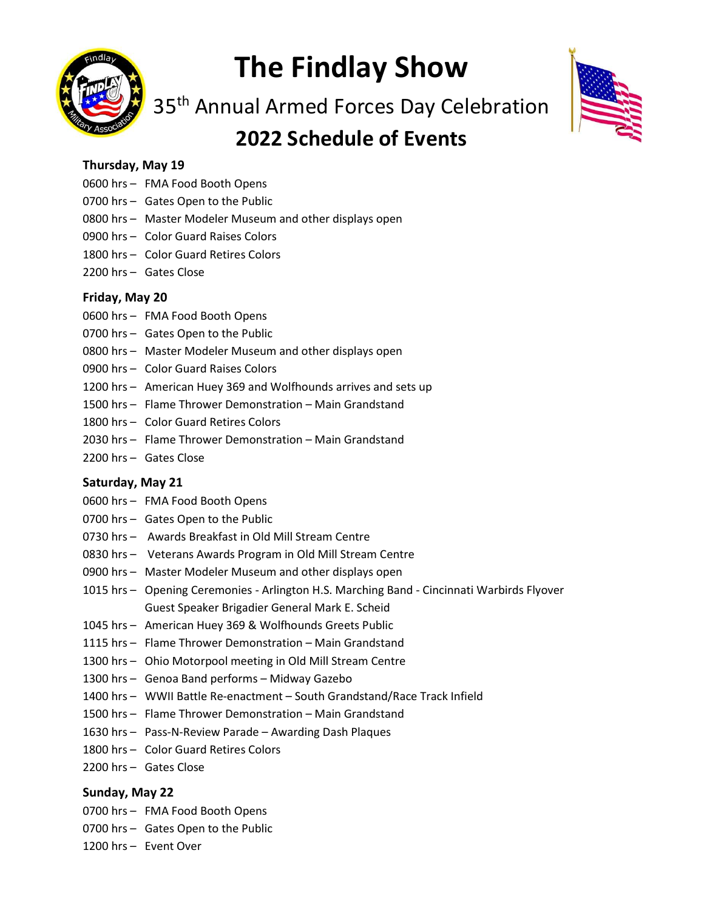

# The Findlay Show

35<sup>th</sup> Annual Armed Forces Day Celebration

## 2022 Schedule of Events



#### Thursday, May 19

- 0600 hrs FMA Food Booth Opens
- 0700 hrs Gates Open to the Public
- 0800 hrs Master Modeler Museum and other displays open
- 0900 hrs Color Guard Raises Colors
- 1800 hrs Color Guard Retires Colors
- 2200 hrs Gates Close

#### Friday, May 20

- 0600 hrs FMA Food Booth Opens
- 0700 hrs Gates Open to the Public
- 0800 hrs Master Modeler Museum and other displays open
- 0900 hrs Color Guard Raises Colors
- 1200 hrs American Huey 369 and Wolfhounds arrives and sets up
- 1500 hrs Flame Thrower Demonstration Main Grandstand
- 1800 hrs Color Guard Retires Colors
- 2030 hrs Flame Thrower Demonstration Main Grandstand
- 2200 hrs Gates Close

#### Saturday, May 21

- 0600 hrs FMA Food Booth Opens
- 0700 hrs Gates Open to the Public
- 0730 hrs Awards Breakfast in Old Mill Stream Centre
- 0830 hrs Veterans Awards Program in Old Mill Stream Centre
- 0900 hrs Master Modeler Museum and other displays open
- 1015 hrs Opening Ceremonies Arlington H.S. Marching Band Cincinnati Warbirds Flyover Guest Speaker Brigadier General Mark E. Scheid
- 1045 hrs American Huey 369 & Wolfhounds Greets Public
- 1115 hrs Flame Thrower Demonstration Main Grandstand
- 1300 hrs Ohio Motorpool meeting in Old Mill Stream Centre
- 1300 hrs Genoa Band performs Midway Gazebo
- 1400 hrs WWII Battle Re-enactment South Grandstand/Race Track Infield
- 1500 hrs Flame Thrower Demonstration Main Grandstand
- 1630 hrs Pass-N-Review Parade Awarding Dash Plaques
- 1800 hrs Color Guard Retires Colors
- 2200 hrs Gates Close

#### Sunday, May 22

- 0700 hrs FMA Food Booth Opens
- 0700 hrs Gates Open to the Public
- 1200 hrs Event Over